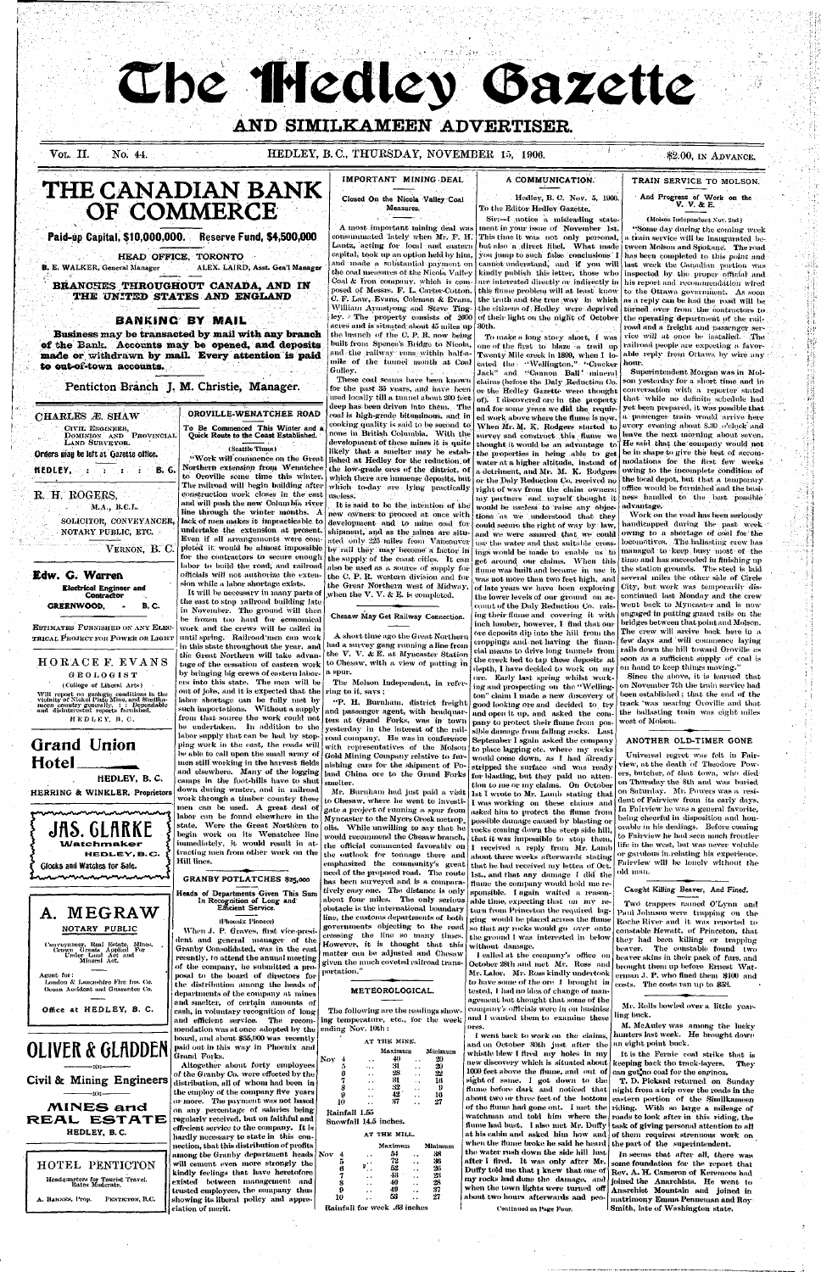# The Medley Gazette

# AND SIMILKAMEEN ADVERTISER.

Vol. II. No. 44.

# HEDLEY, B.C., THURSDAY, NOVEMBER 15, 1906.

IMPORTANT MINING DEAL

Closed On the Nicola Valley Coal

Measures.

built from Spence's Bridge to Nicola,

and the railway runs within half-a-

mile of the tunnel mouth at Coal

These coal seams have been known

for the past 35 years, and have been

used locally till a tunnel about 200 feet

deep has been driven into them. The

coal is high-grade bituminous, and in

cooking quality is said to be second to

\$2.00, IN ADVANCE.

# THE CANADIAN BANK OF COMMERCE

#### Paid-up Capital, \$10,000,000. Reserve Fund, \$4,500,000

#### HEAD OFFICE, TORONTO

ALEX. LAIRD, Asst. Gen'l Manager **B. E. WALKER, General Manager** 

BRANCHES THROUGHOUT CANADA, AND IN THE UNITED STATES AND ENGLAND

## **BANKING BY MAIL**

Business may be transacted by mail with any branch of the Bank. Accounts may be opened, and deposits made or withdrawn by mail. Every attention is paid to out-of-town accounts.

Penticton Branch J. M. Christie, Manager.

#### CHARLES Æ. SHAW

CIVIL ENGINEER, DOMINION AND PROVINCIAL<br>LAND SURVEYOR.

Orders may be left at Gazette office.

 $HEDLEY, \quad \cdots, \quad \cdots$ B. G.

## R. H. ROGERS.

M.A., B.C.L. SOLICITOR, CONVEYANCER,

NOTARY PUBLIC, ETC.

VERNON, B. C.

Edw. G. Warren **Electrical Engineer and** Contractor **GREENWOOD, B. C.** 

**ESTIMATES FURNISHED ON ANY ELEC-**TRICAL PROJECT FOR POWER OR LIGHT

HORACE F. EVANS

# To Be Commenced This Winter and<br>Quick Route to the Coast Established.

OROVILLE-WENATCHEE ROAD

"Work will commence on the Great Northern extension from Wenatchee to Oroville some time this winter. The railroad will begin building after construction work closes in the east and will push the new Columbia river line through the winter months. A lack of men makes it impracticable to undertake the extension at present. Even if all arrangements were completed it would be almost impossible for the contractors to secure enough labor to build the road, and railroad officials will not authorize the extension while a labor shortage exists.

It will be necessary in many parts of the east to stop railroad building late in November. The ground will then be frozen too hard for economical work and the crews will be called in until spring. Railroad men can work in this state throughout the year, and

new owners to proceed at once with development and to mine coal for. shipment, and as the mines are situated only 225 miles from Vancouver by rail they may become a factor in the supply of the coast cities. It can also be used as a source of supply for the C. P. R. western division and for the Great Northern west of Midway, when the  $V, V, \& E$ , is completed.

Chesaw May Get Railway Connection.

A short time ago the Great Northern had a survey gang running a line from the V. V. & E. at Myncaster Station the Great Northern will take advanto Chesaw, with a view of putting in tage of the cessation of eastern work spur.

#### A COMMUNICATION.

Hedley, B. C. Nov. 5, 1906. To the Editor Hedley Gazette,

Sir:-I notice a misleading state-A most important mining deal was ment in your issue of November 1st. consummated lately when Mr. F. H. This time it was not only personal, Lantz, acting for local and eastern capital, took up an option held by him, you jump to such false conclusions 1 and made a substantial payment on cannot understand, and if you will last week the Canadian portion was the coal measures of the Nicola Valley kindly publish this letter, those who Coal & Iron company, which is composed of Messis. F. L. Carter-Cotton. this flume problem will at least know to the Ottawa government. As soon C. F. Law, Evans, Coleman & Evans, the truth and the true way in which as a reply can be had the road will be William Armstrong and Steve Tingthe citizens of Hedley were deprived turned over from the contractors to ley. The property consists of 2600 of their light on the night of October the operating department of the railacres and is situated about 45 miles up 30th. the branch of the C. P. R. now being

To make a long story short, I was one of the first to blaze a trail up Twenty Mile creek in 1899, when I located the "Wellington," "Cracker Jack" and "Cannon Ball' mineral claims (before the Daly Reduction Co. or the Hedley Gazette were thought of). I discovered ore in the property. and for some years we did the required work above where the flume is now. When Mr. M. K. Rodgers started to survey and construct this flume we thought it would be an advantage to the properties in being able to get water at a higher altitude, instead of a detriment, and Mr. M. K. Rodgers or the Daly Reduction Co. received no right of way from the claim owners: my partners and myself thought it would be useless to raise any objec-

tions as we understood that they could secure the right of way by law, and we were assured that we could use the water and that suitable crossings would be made to enable us to get around our claims. When this flume was built and became in use it was not more than two feet high, and several miles the other side of Circle of late years we have been exploring the lower levels of our ground on account of the Daly Reduction Co. raising their flume and covering it with inch lumber, however, I find that our ore deposits dip into the hill from the eroppings and not having the financial means to drive long tunnels from the creek bed to tap these deposits at soon as a sufficient supply of coal is depth, I have decided to work on my

ore. Early last spring whilst work-

ing and prospecting on the "Welling-

ton" claim I made a new discovery of

good looking ore and decided to try

and open it up, and asked the com-

pany to protect their flume from pos-

sible damage from falling rocks. Last

September I sgain asked the company

to place lagging etc. where my rocks

would come down, as I had already

stripped the surface and was ready

for blasting, but they paid no atten-

tion to me or my claims. On October

1st I wrote to Mr. Lamb stating that

I was working on these claims and

asked him to protect the flume from

#### TRAIN SERVICE TO MOLSON.

#### And Progress of Work on the V. V. & E.

(Molson Independent Nov. 2nd) "Some day during the coming week a train service will be inaugurated bebut also a direct libel. What unde tween Molson and Spokane. The road has been conpleted to this point and inspected by the proper official and are interested directly or indirectly in his report and recommendation wired road and a freight and passenger service will at once be installed. The railroad people are expecting a favorable reply from Ottawa by wire any hour.

Ωľ

ងប៉ុ

Superintendent Morgan was in Molson yesterday for a short time and in conversation with a reporter stated that while no definite schedule had yet been prepared, it was possible that a passenger train would arrive here every evening about 8.30 o'clock and leave the next morning about seven. He said that the company would not be in shape to give the best of accoumodations for the first few weeks owing to the incomplete condition of the local depot, but that a temporary office would be furnished and the business handled to the best possible advantage.

Work on the road has been seriously handicapped during the past week owing to a shortage of coal for the locomotives. The ballasting crew has managed to keep busy most of the time and has succeeded in finishing up the station grounds. The steel is laid City, but work was temporarily discontinued last Monday and the crew went back to Myncaster and is now engaged in putting guard rails on the bridges between that point and Molson. The crew will arrive back here in a few days and will commence laying rails down the hill toward Oroville as on hand to keep things moving." Since the above, it is learned that on November 7th the train service had been established; that the end of the track was nearing Oroville and that the ballasting train was eight miles west of Molson.

none in British Columbia. With the development of these mines it is quite (Seattle Times) likely that a smelter may be established at Hedley for the reduction of the low-grade ores of the district. of which there are immense deposits, but

Gullev.

which to-day are lying practically useless. It is said to be the intention of the

GEOLOGIST

(College of Liberal Arts) Will report on geologic conditions in the<br>vicinity of Nickel Plate Mine, and Similka-<br>*meen country generally, : : Dependable*<br>and disinterested reports furnished,

HEDLEY, B.C.

# **Grand Union** Hotel

HEDLEY, B.C.

HERRING & WINKLER, Proprietors

**JAS. GLARKE** 

Watchmaker

nnnnnnnnnnnnnnnnn

A. MEGRAW

NOTARY PUBLIC

Conveyameer, Real Estate, Mines,<br>Crown Grants Applied For<br>Under Land Act and<br>Mineral Act,

Landon & Lancashire Fire Ins. Co.

Ocean Accident and Guarantee Co.

Office at HEDLEY, B. C.

Acent for:

Glocks and Watches for Sale.

men can be used. A great deal of labor can be found elsewhere in the state. Were the Great Northern to begin work on its Wenatchee line immediately, it would result in attracting men from other work on the HEDLEY.B.C. Hill lines.

**GRANBY POTLATCHES \$25,000** 

down during winter, and in railroad

work through a timber country these

Heads of Departments Given This Sum In Recognition of Long and<br>Efficient Service.

(Phoenix Pioneer)

When J. P. Graves, first vice-president and general manager of the Granby Consolidated, was in the east recently, to attend the anumal meeting of the company, he submitted a proposal to the board of directors for the distribution among the heads of departments of the company at mines and smelter, of certain amounts of cash, in voluntary recognition of long and efficient service. The recommendation was at once-adopted by the  $|$  ending Nov. 10th : board, and about  $$55,000$  was recently paid out in this way in Phoenix and Grand Forks.

Altogether about forty employees

of the Granby Co. were effected by the

distribution, all of whom had been in

nection, that this distribution of profits

**OLIVER & GLADDEN** 

Civil & Mining Engineers



#### among the Granby department heads Nov will cement even more strongly the HOTEL PENTICTON kindly feelings that have heretofore Headquarters for Tourist Travel.<br>Rates Moderate. existed between management and trusted employees, the company thus PENTICTON, B.C. showing its liberal policy and appre-A. BARNES, Prop. ciation of merit.



The Molson Independent, in referout of jobs, and it is expected that the ring to it, says; labor shortage can be fully met by

"P. H. Burnham, district freight such importations. Without a supply and passenger agent, with headquarfrom that source the work could not. ters at Grand Forks, was in town be undertaken. In addition to the vesterday in the interest of the raillabor supply that can be had by stoproad company, He was in conference ping work in the east, the roads will with representatives of the Molson be able to call upon the small army of Gold Mining Company relative to furmen still working in the harvest fields nishing cars for the shipment of Poand elsewhere. Many of the logging land China ore to the Grand Forks camps in the foot-hills have to shut smelter.

Mr. Burnham had just paid a visit to Chesaw, where he went to investigate a project of running a spur from Myncaster to the Myers Creek metrop. olis. While unwilling to say that he would recommend the Chesaw branch, the official commented favorably on the outlook for tonnage there and emphasized the community's greatneed of the proposed road. The route has been surveyed and is a comparatively easy one. The distance is only about four miles. The only serious obstacle is the international boundary line, the customs departments of both governments objecting to the road crossing the line so many times. However, it is thought that this matter can be adjusted and Chesaw given the much coveted railroad transportati<mark>o</mark>n."

#### METEOROLOGICAL.

The following are the readings showing temperature, etc., for the week

|                       | AT THE MINE. |         |
|-----------------------|--------------|---------|
|                       | Maximum      | Minimur |
| юy                    | 40           | 20      |
| 5                     | 31           | 20      |
| 6                     | 28           | 22      |
| 7                     | 31           | 16      |
| 8                     | 32           | 9       |
| 9                     | $42\,$       | 16      |
| 10                    | 37           | 27      |
| Rainfall 1.55         |              |         |
| Snowfall 14.5 inches. |              |         |

AT THE MILL.

Noy

|    |    | Maximum                      | Minimum |
|----|----|------------------------------|---------|
| οv | 4, | 54                           | 38      |
|    | 5  | 72                           | 36      |
|    | 6  | 52                           | 26      |
|    | 7  | 43                           | 23      |
|    | 8  | 40                           | 23      |
|    | Ω  | 49                           | 37      |
|    | 10 | 53                           | 27      |
|    |    | Rainfall for week .63 inches |         |

possible damage caused by blasting or rocks coming down the steep side hill, that it was impossible to stop them. I received a reply from Mr. Lamb about three weeks afterwards stating that he had received my lettea of Oct. 1st., and that any damage I did the flume the company would hold me responsible. I again waited a reason-

able time, expecting that on my return from Princeton the required lagging would be placed across the flume so that my rocks would go over onto the ground I was interested in below without damage.

I called at the company's office on October 28th and met Mr. Ross and Mr. Lalor. Mr. Ross kindly undertook to have some of the ore I brought in tested, I had no idea of change of management but thought that some of the company's officials were in on husiniss and I wanted them to examine these ores.

I went back to work on the claims, and on October 30th just after the an eight point buck. whistle blew I fired my holes in my new discovery which is situated about  $\vert$ 1000 feet above the flume, and out of  $|$  can get no coal for the enginos, sight of same. I got down to the flume before dark and noticed that about two or three feet of the bottom of the flume had gone ont. I met the watchman and told him where the flume had bust, I also met Mr. Duffy at his cabin and asked him how and when the flume broke he said he heard the water rush down the side hill lust after I fired. It was only after Mr. Duffy told me that I knew that one of my rocks had done the damage, and when the town lights were turned off about two hours afterwards and peo-

Continued on Page Four.

#### ANOTHER OLD-TIMER GONE

Universal regret was felt in Fairriew, at the death of Theodore Powers, butcher, of that town, who diedon Thursday the 8th and was buried on Saturday. Mr. Powers was a resident of Fairyiew from its early days, In Fairview he was a general favorite, being cheerful in disposition and honorable in his dealings. Before coming to Fairview he had seen much frontierlife in the west, but was never voluble or garulous in relating his experience. Fairview will be lonely without the old man.

Caught Killing Beaver, And Fined.

Two trappers named O'Lynn and Paul Johnson were trapping on the Roche River and it was reported to constable Hewatt, of Princeton, that they had been killing or trapping beaver. The constable found two beaver skins in their pack of furs, and brought them up before Ernest Waterman J. P. who fined them \$100 and costs. The costs ran up to \$53.

Mr. Rolls bowled over a little yearling buck.

M. McAuley was among the lucky hunters last week. He brought down

It is the Fernie coal strike that is keeping back tho track-layers. They

T. D. Pickard returned on Sunday night from a trip over the roads in the eastern portion of the Similkameen riding. With so large a mileage of roads to look after in this riding, the task of giving personal attention to all of them requires strenuous work on the part of the superintendent.

In seems that after all, there was some foundation for the report that Rev, A. H. Cameron of Keremeos had joined the Anarchists. He went to Anarchist Mountain and joined in matrimony Emma Penneman and Roy-Smith, late of Washington state.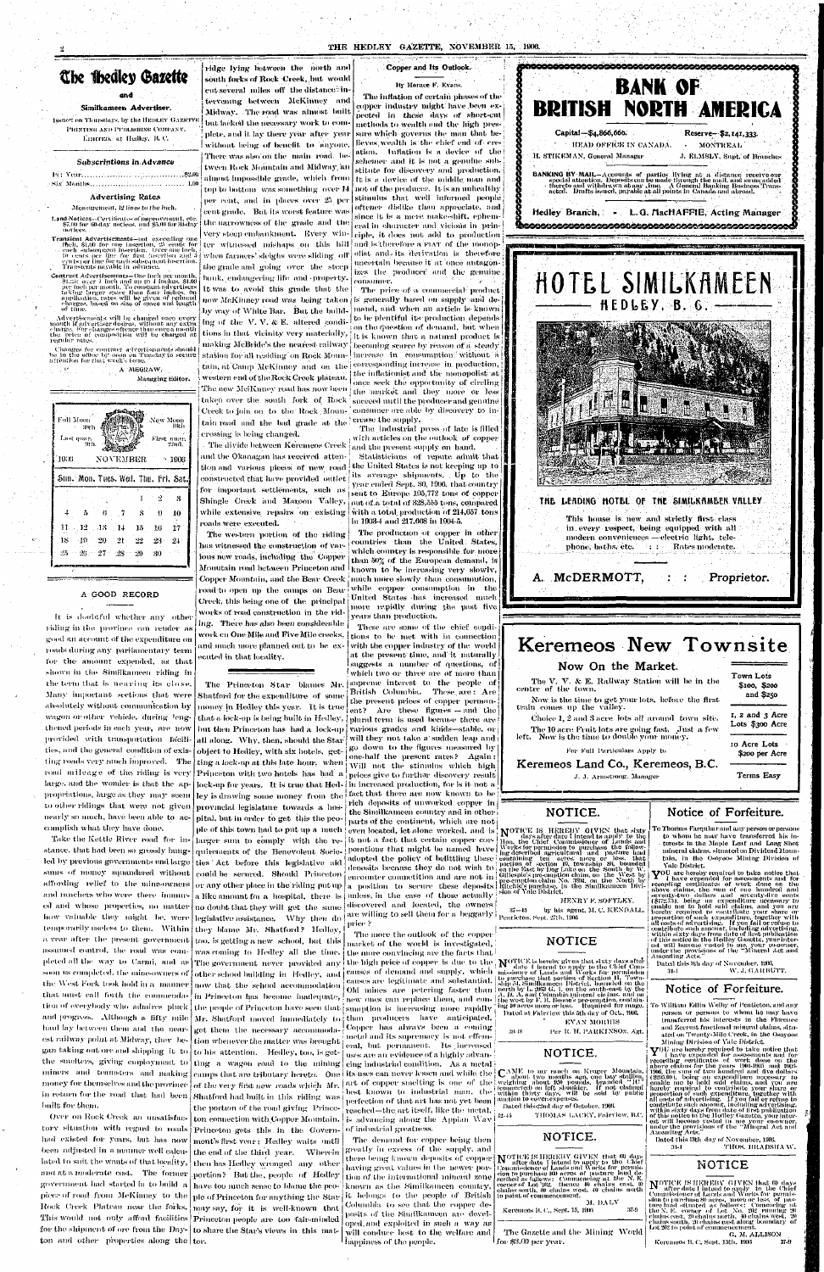#### THE HEDLEY GAZETTE, NOVEMBER 15, 1906.



# She Ibedlcy Gazette

#### **and**

#### Similkameen Advertiser.

Issuet on Thursdays, by the HEDLEY GAZETTE **l'UINTINfi ANII Pl'ltl.lSIII.N'fi COMI'A.VV.**  l'harrien, at Hedley, B.C.

#### Subscriptions in Advance

l'(: Vc.-ir. **. ,.!?'J.0C**  •Six' .Months... **. . . 1.00** 

#### Advertising Rates

Measurement. 12 lines to the inch.

- Transient Advertisements—not exceeding one  $\begin{tabular}{l|c|c|c|c|c|c|c|c} \hline if\text{beh. 81.00 for one insertion, 25 cents for tere-  
each subsequent insertion. Over one inch, 16 cents per line for each subsequence inser, with  
cells per line for each subsequence inser, 5, with  
Transients payable in advance. \hline \end{tabular}$
- Contract Advertisements—One inch per mouth. Sl.:.V>: over I inch and up to I inches. §1.00 per. inch 'permonth. To constant, advertisers raking larger space than four inches, on application, rates will be given of reduced<br>charges, based on size of space and length<br>of time.

Land Notices—Oortiticales ofiiiiproveiiient. etc. *\$7 Ml* for liO-day notices, and So.OO for 30-day novices.

Advertisements will he changed once every 'month if advertiser desires, without any extra charge. For changes oftcner thats once a month the price of composition will lie -charged at regular rates.

Changes for contract advertisements .should

A MEGRAW,

Managing b'ditor.

The production or copper in other  $s$  than the United States, than 50% of the European demand, is known to be increasing very slowly, more rapidly during the past five  $\frac{1}{2}$  vers then moduction years tha n production .

These are some of the chief conditions to be met with in connection with the copper industry of the world at the present time, and it naturally suggests a number of questions, of

which two or three are of more than  $|$  supreme interest to the people of  $|$ British Columbia. These are : Are

Full Moon .'New Moon Last quar. **With the Pirst quar** *Mi0*  190(5 NOVEMBER 4 1906 Sun. Mon. Tues. Wed. Thu. Fri. Sat. -2 8  $\sqrt{7}$ 8 9 10 (i **o**  .12  $\sqrt{14}$ 15 1(5 17 11- ,18. .19 20 22 lS 21 28 **2t**   $25$ **•>**!7 **7**  .28 29 80

#### A GOOD RECORD

It is doubtful whether any other riding in the province can render as good an account of the expenditure on roads during any parliamentary term for the amount expended, as that shown in the Similkameen riding in the term that is nearing its close. Many important sections that were absolutely without communication by wagon or other vehicle, during lengthened periods in each year, are now provided with transportation facilities, and the general condition of existing roads very much improved. The road mileage of the riding is very Princeton with two hotels has had a large, and the wonder is that the appropriations, large as they may seem to other ridings that were not given nearly so much, have been able to accomplish what they have done, stance, that had been so grossly hungled by previous governments und large  $\vert$  ties ' Act -before -this -legislative -aid sums of money squandered without affording relief to the mine-owners and ranchers who were there immured and whose properties, no matter  $\lfloor$  no doubt that they will get the same  $\rfloor$  discovered and located, the owners  $\lfloor$ how valuable they might be, were legislative assistance. Why then do temporarily useless to them. Within they blame Mr. Shatford? Hedley, a-vear after the present government  $|$  too, is getting a new -school, but this assumed control, the road was completed all the  $\text{way to Carmi},$  and as The government never provided any soon is completed, the mine-owners of  $\vert$  other school building  $\vert$  in  $\vert$  Hedley, and the West Fork took hold in a manner that must call forth the commendation of everybody who admires pluck and progress. Although a fifty mile haul lay between them and the nearest railway point at Midway, they began taking out ore and shipping it to the smelters, giving employment to miners and teamsters and making money for themselves and the province in return for the road that had been built for them. Over on Rock Creek an unsatisfactory situation with regard to roads had existed for years, but has now been adjusted in a manner well calculated to suit the wants of that locality, and at a moderate cost. The former government had started in to build  $\vert {\rm a} \vert$  have too much sense to blame the peopiece of road from McKinney to the Rock Creek Plateau near the forks. This would not only afford facilities Princeton people are too fair-minded for the shipment of ore from the Day-  $\vert$  to share the Star's views in -this- mat- $\tan$  and other properties along the  $\tan$ .

ridge lying between the north and south forks of Rock-Creek, but would cut several -miles -off -the distance  $\mathbb{R}^2$  in-

tervening between McKinney and Midway. The road was almost built but lacked the necessary work to complete, and it lay there year after year without being of benefit to anyone, There was also on the main road between Rock Mountain and Midway/an almost impossible grade, which from  $|$  to is a device of the middle man and  $|\cdot|\widetilde{\blacklozenge}|$ top'to bottom -was something -over 14 | not of the producer. It is an unhealthy  $\mathbf{i} \in \mathbf{S}$ per cent, and in places over 25 per cent grade, But its worst feature was the narrowness of the grade and the very steep embankment. Every winwhen farmers' sleighs, were sliding  $|$  off  $|$  olist and  $e$  its derivation is therefore  $|$ the grade and going over the steep bank, endangering life and -property.

It was to avoid this grade that the  $\mid$ new McKinney road was -being -taken is generally based on supply and de-  $\vert$ by way of White Bar. But the building of the V. V. & E. altered condistation for all residing on Rock Moun-Hucrease  $\,$  in Tronsumption without a attention for that week's issue.  $\frac{1}{2}$   $\frac{1}{2}$   $\frac{1}{2}$   $\frac{1}{2}$   $\frac{1}{2}$   $\frac{1}{2}$   $\frac{1}{2}$   $\frac{1}{2}$   $\frac{1}{2}$   $\frac{1}{2}$   $\frac{1}{2}$ tions in that vicinity very materially, making McBride's the nearest railway ; becoming scarce by reason of a steady

> western end of the Rock Creek plateau. **I • • ••**  I are new metrum y road has now been the "market and they" more or less  $i$  taken over the south fork of Rock succeed until the producer and genuine Creek by join on to the mount accom-Creek to join on to the Rock Moun- consumer are able by discovery to in-

tain tana and *the side* grade *he* the crossing is being changed. The divide between Keremeos Creek  $\vert$  and the present supply on  $\,\mathrm{hand.}$ constructed that have provided outlet for important settlements, such as

roads were executed. The western portion of the riding has witnessed the construction of var-  $\frac{1}{2}$  which country is responsible for more ious new roads, including the Copper Mouutain road betaseen Princeton and works of road construction in the riding. There has also been considerable work en One Mile and Five Mile creeks, and much more planned out to be executed in that locality. Copper Mountain, and the Bear-Creek much more slowly than consumution, road to open up the camps on Bear while copper consumption in the Creek, this being one of the principal United States has increased much

The Princeton Star blames Mr.

#### Copper and Its Outlook.

#### By Horace F. Evans.

witnessed mishaps on this hill and is therefore a FLAT of the monop- $\frac{1}{2}$ The inflation of certain phases of the copper industry might have been expected in these days of short-cut methods to wealth and the high pressure which governs the man that believes, wealth is the chief end of -creation. Inflation is a device of the schemer and it is not a genuine substitute for discovery and production. stimulus that well informed people oftener dislike than appreciate, and since it is a mere make-shift, ephemeral in character and vicious in prineiple, it does not add to production uncertain because it' at 'once' autagon- $\,$ izes the producer and the genuine ' consumer.

 $\frac{1}{4}$  tain, at Camp McKinney and on the corresponding increase in production, The price of a commercial product mand, and when an article is known  $\pm$  to be plentiful its production depends on the question of demand, but when it is known that a natural product is the inflationist and the monopolist at once seek the opportunity of circling crease the supply.

> The industrial press of late is filled with articles on the outlook of copper

and the Okanagan has received atten- Statisticians of repute admit that tion and various pieces of new road the United States is not keeping up to Shingle Creek and Maroon Valley,  $_{\rm out}$  of a total of 328,555 tons, compared while extensive -repairs -on--existing [with a total production of  $214,\!657$  tons: its average shipments. Up to the year ended Sept. 30,  $1906$ , that  ${\rm country}$  $\vert$  sent to Europe 195,772 tons of copper in 1908-4 and 217,068 in 1904-5.

> recording certificates of work done on the<br>above claims, the sum of one hundred and seventy-two dollars and seventy-live cents

NOTICE IS HEREBY GIVEN that 60 days<br>Commissioner of Latends and Works for permission to purchase 160 days<br>sion to purchase 160 acres of pasture land de-<br>seribed as follows: Commencing at the N. E.<br>centroc of Lot.<sup>1292</sup>, t to point of commencement. M. DALY

Keremeos B. C., Sept. 15, 1906 - 37-9

The Gazette and the Mining World for Jfi8.00 pe r year.

 $\mathbf{Y}^{OU}$  is have expended for assessments and for the<br>coording certificates of work done on the above claims for the years<br>likelihood and the<br>above claims for the years 1901-1905 and 1905-<br>1906, the sum of two hundred all costs of advertising. If you fail or refuse to contribute such amount, including advertising, within sixty days from date of first publication<br>of this notice in the Hedley Gazette, your inter-<br>est will become vested in 1110 your co-owner,<br>under the provisions of the "Mineral Act and Amending Acts."

Dated this 13th day of November, 1906. 31-1 THOS. BRADSHAW.

NOTICE IS HERENY GIVEN that 60 days<br>commissioner of Lands and Works for purins<br>commission to purchase 80 acres, more or best, of pas-<br>tore hand situated as follows : Comencing at<br>the band situated as follows : Comencing at G. M. ALLISON

Keremeos B. C. Sept. 15th. 1906 37-9



Shatford for the expenditure of some money in Hedley this year. It is true but then Princeton has had a lock-up all along. Why, then, should the Star object to Hedley, with six hotels, get-

Take the Kettle River road for in- [larger sum to comply with the reple of this town had to put up a much quirements of the Benevolent Socie- porations that might be named have Works for permission to purchase the followcould be secured. Should Princeton or any other place in the riding put up a like amount for a hospital, there is unless, in the case of those actually  $\frac{1}{N}$ . HENRY F. SOFTLEY,  $\frac{1}{N}$  ,  $\frac{1}{N}$  ,  $\frac{1}{N}$  ,  $\frac{1}{N}$  ,  $\frac{1}{N}$  ,  $\frac{1}{N}$  ,  $\frac{1}{N}$  ,  $\frac{1}{N}$  ,  $\frac{1}{N}$  ,  $\frac{1}{N$ was coming to Hedley all the time. now that the school accommodation  $\left|$  in Princeton has become inadequate, the people of Princeton have seen that sumption is increasing more rapidly  $\left| \frac{\text{mg} + \text{m} \text{ acres}}{\text{Data}} \right|$  and  $\text{a} \text{pm} \text{ms}$  is the day of Oct. 1906 camps that are tributary hereto. One its uses can never lessen and while the  $\left[\mathbf{C}^{\mathrm{AMF}}_{\mathrm{abs}}\right]$ get them the necessary accommodation whenever the matter was brought to his attention. Hedley, too, is getting a wagon road to the mining of the very first new roads which Mr. Shatford had built in this riding was

the portion of the road giving Princeton connection with Copper Mountain. Princeton gets this in the Government's first vear; Hedley waits until the end of the third year. Wherein then has Hedley wronged any other portion? But the, people of Hedley ple of Princeton for anything the Star may say, for it is well-known that

that a lock-up is being built in Hedley,  $\vert$  plural term 'is used because there are  $\vert$ the present prices of copper perman $ent?$  Are these figures  $-$  and the various grades and kinds-stable, or will they not take a sudden leap and go down to the figures measured by one-half the present rates?  $\operatorname{Again}$  : ting a lock-up at this late hour, when Will not the stimulus which high lock-up for years. It is true that Hed-  $\vert$  in increased production, for is it not a ley is drawing some money from the fact that there are now known to be provincial legislature towards a hos-<br>and the Shutllengen number and in the shape provincial against towards a bos-1 the Similkameen country and in other pital, but in order to get this the peo-1 more of the continent, which are not. parts of the continent, which are not. even located, let alone worked, and is  $\frac{1}{2} N^{OTICE}$  IS HEREBY GIVEN that sixty it not a fact that certain copper cor-  $\frac{1}{2}$   $\frac{1}{2}$  mo, the Chief Commissioner of Lands and it not a fact that certain copper corporations that might be named have adopted the policy of belittling these  $\vert$ deposits because they do not wish to a position to secure these deposits Ritchie's purchase, in the Similkameen Divi-<br>- unless in the supe of these actually sion of Vale District. unless, in the case of those actually a r e willin g t o sell the m for a beggarl y ' Penticton. Sept. -'7th. lUOfi price-' and the contract of the contract of the contract of the contract of the contract of the contract of

> The more the outlook- of the copper  $\{$ market of the world is investigated, the more convincing are the facts that

Copper has always been a coming metal and its supremacy is not effemeral, but permanent. Its increased uses are an evidence of a highly advaneing industrial condition. As a metal

its uses can never lessen and while the  $\mid$  CAME to my ranch on Kruger–Mountain  $t$  is used in the lay stallion art of copper smelting is one of the perfection of that art has not yet been [auction to cover.expenses.<br>Deted this 22nd day of Oc , , ., .. . ..... . ' . reached—th e ar t itself, like th e metal . • .. ... .  $\frac{1}{2}$  is advancing along the Appian Way  $\frac{42-45}{2}$  THOMAS LACEY, Fairview, B.C. of industrial greatness.

The demand for copper being then greatly in excess of the supply, and there being known deposits of copper having great values in the newer portion of the international mineral zone. known as the Similkameen country, it belongs to the people of British Columbia, to see that the copper deposits of the Similkameen are developed, and exploited in such a way as will conduce best to the welfare and happiness of the people.

art of copper smelting is one of the weighing about 950 pounds, branded "IC"<br>that has more that inducted was at is domected on left shoulder. If not claimed best known to industrial main, the within thirty days, will be sold by public

. Dated this 22nd day of October, 1906.

to whom he may have transferred his interests in tlie Maple Leaf and Long Shot mineral claims, situated on Dividend Mountain, in the Osoyoos Mining Division of

# NOTICE.

## NOTICE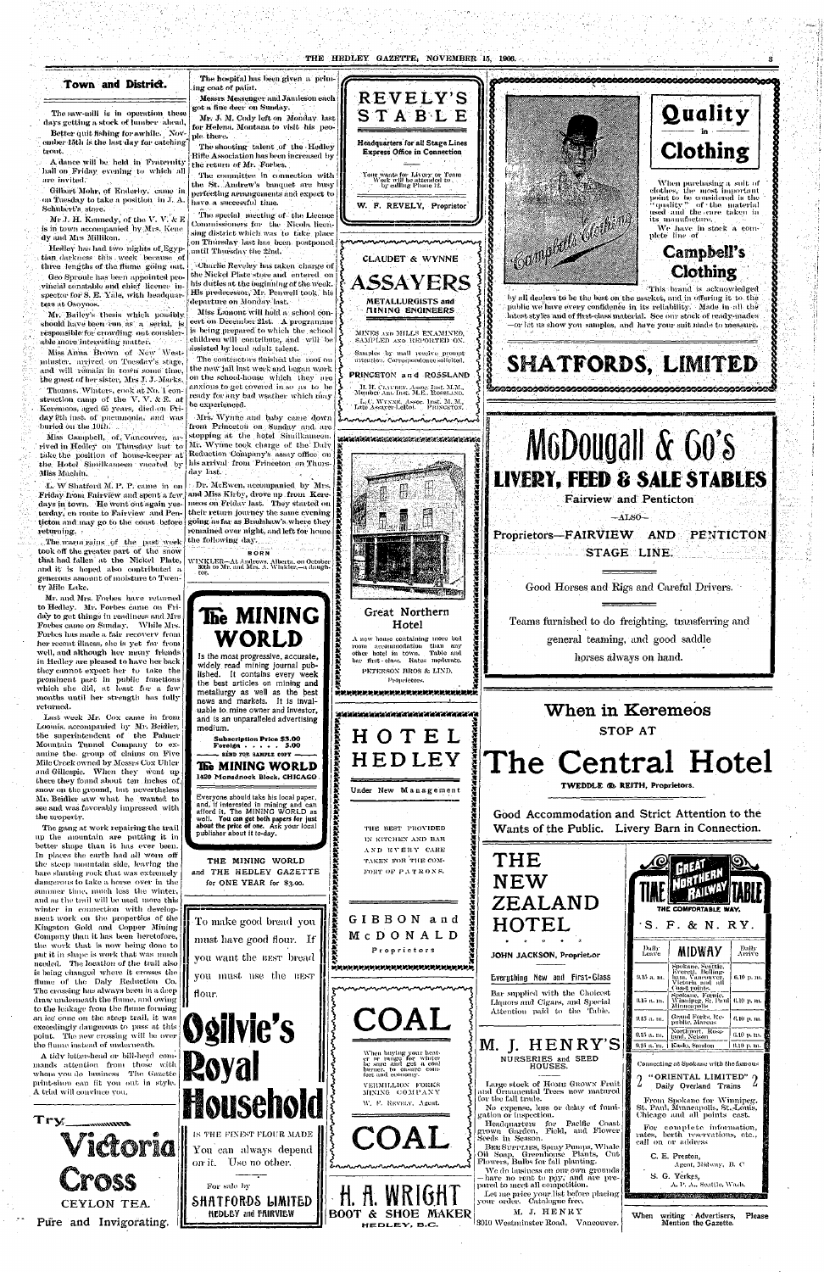#### THE HEDLEY GAZETTE, NOVEMBER 15, 1906.

## Town and District.

The saw-mill is in operation these days getting a stock of lumber ahead,

Better quit fishing for a while. November 15th is the last day for catching' trout.

A dance will be held in Fraternity hall on Friday evening to which all are. invited.

Gilbert Mohr, of Entlerby. came in on Tuesday to take a position in  $J. A.$ Schubert's store.

Mr J. H. Kennedy, of the V. V.  $\&$  E is in town accompanied by Mrs. Kene dy and Mrs Milliken.

Hedley has had two nights of Egyptian darkness this week because of three lengths of the flume  $\phi$  going out. Geo Sproule has been appointed provincial constable and chief licence inters at Osoyoos.

Mr. Bailey's thesis which possibly should have been run as a serial, is responsible for crowding out considerable more interesting matter.

The hospital has been given a prim ing coat of paint.

The special meeting of the Licence Commissioners for the Nicola licensing district which was to take place .on Thursday last has been postponed until Thursday the 22nd.

spector for S. E. Yale, with headquar-  $\vert$  His predecessor, Mr. Penwell took, his Charlie. Reveley Iras taken charge of the Nickel Plate store and entered on his duties at the beginning of the week. departure on Monday last.

Miss Anna Brown of New Westminster, arrived on Tuesday's stage, and will remain in town some time. the guest of her sister, Mrs J. J. Marks. Thomas. Winters, cook at No. 1 construction camp of the  $V, V, \& E.$  at Keremeos, aged 65 years, died.on Friday 9th inst. of pneumonia, and was buried on the 10th.

 $Miss$  Campbell, of Vancouver, arrived in Hedley on Thursday last to  ${\rm take\ the\ position\ of\ house-keeper\ at}$ the Hotel Similkameen vacated by Miss Machiu.

Messrs Messenger and Jamieson each got a fine deer on Sunday.

Mr. *J.* M. Cody left on Monday last for Helena. Montana to visit his people there.

The shooting talent of the Hedley Rifle Association has been increased by the return of Mr. Forbes.

The warm rains of the past week took off the greater part of the snow that had fallen at the Nickel Plate, and it is hoped also contributed a generous amount of moisture to Twenty Mile Lake.

Mr. and Mrs. Forbes have returned to Hedley. Mr. Forbes came on Friday to get things in readiness and Mrs. Forbes came on Sunday. "While Mrs. Forbes has made a fair recovery from her recent illness, she is yet far from well, and although her many friends in Hedley are pleased to have her back they cannot expect her to take the

The committee in connection with the St. Andrew's banquet are busy perfecting arrangements and expect to have, a successful time.

Miss Lamont will hold a school concert on December 21st. A programme is being prepared to which the school children will contribute, and will be assisted by local adult talent.

The contractors finished the roof on the new jail last week and began work on the school-house which they are anxious to get covered in so as to be ready for any bad wsather which may be experienced.

Mrs. Wynne and baby came down from Princeton on Sunday and, are stopping at the hotel Similkameen. Mr. Wynne took charge of the Daly Reduction Company's assay office, on his arrival from Princeton on Thursday last.

*L.* W Shatford M. P. P. came in on Friday from Fairview and spent a few days in town. He went out again yesterday, en route to Fairview and Penticton and may go to the coast before returning. •



The gang at work repairing the trail up the mountain are putting it in better shape than it has ever been. In places the earth had all worn off the steep mountain side, leaving the bare slanting rock that was extremely dangerous to take a horse over in the summer time, much less the winter, and as the trail will be used more this winter in connection with development work on the properties of the Kingston Gold and Copper Mining Company than it has been heretofore, the work that is now being done to put it in shape is work that was much needed. The location of the trail also. is being changed where it crosses the flume of the Daly Reduction Co. The crossing has always been in a deep draw underneath the flume, and owing to the leakage from the flume forming an ice cone on the steep trail, it was exceedingly dangerous to pass at this point. The new crossing will be over the Hume instead of underneath.

**Subscriptio n Pric e \$3.0 0 Foreign . . . . . 5.00 SEND FOR SAMPLE COPY -The MINING WORLD**  1420 Monadnock Block, CHICAGO

*K K x \*i H*  **IXARANAN**<br>**I B**asa

*K x K*  \* *\*i x*   $\ddot{\bullet}$ 

Dr. McEwen, accompanied by Mrs. and Miss Kirby, drove up from Keremeos on;Friday last. They started on their return journey the same evening going as far as Bradshaw's where they remained over night, and left for home the following day.

**BOR N** 

Last week Mr. Cox came in from Loomis. accompanied by Mr. Beidler, the superintendent of  $% \mathbb{R} \rightarrow \mathbb{R}$  the Palmer Mountain Tunnel Company to examine the group of claims on Five Mile Creek owned by Messrs Cox Uhler and Gillespie. When they went up there they found about ten inches of. snow on the ground, but nevertheless Mr. Beidler saw what he wanted to see and was favorably impressed with the uroperty.



the best articles on mining and metallurgy as well as the best news and markets. It is invaluable to.mine owner and investor, and is an unparalleled advertising

**I** 



A tidy letter-head or bill-head commands attention from those with whom you do business The. Gazette print-shon can fit you out in style. A trial will convince you.

Try

Everyone should take his local paper, and, if interested in mining and can afford it, The MINING WORLD as well. You can get both papers for just about the price of one. Ask your local

medium.

*K H H*  \* •£-• *I* 

*\$ I x* 

*K K x K K K* 

*\* K x X* 

Great Northern Hotel A new house containing more bed room accommodation than any other hotel in town. Table and bar first-class. Rates moderate. PETERSON BROS & LIND, Proprietors.

Katan Katang Katang Katang Katang Kat

*X X*  **\***  *X* 

**X** 

[HOTE L

\*\*\*\*\*\*\*\*\*\*\*\*\*\*\*\*\*\*\*\*\*\*\*\*\*\*\*\*\*\*\*

lHEDLE Y

Under New Management

THE BEST PROVIDED

*x X K K x* 

PENTICTON

Teams furnished to do freighting, transferring and general teaming, and good saddle horses always on hand.



| When in Keremeos<br>STOP AT                                                                                                                                                                                                                                                                                                                                                                                                                                                                                                                                                                                                    |                                                                                                                                                                                                                                                                                                                                                                                                                                                                                                                                          |  |  |  |  |  |  |
|--------------------------------------------------------------------------------------------------------------------------------------------------------------------------------------------------------------------------------------------------------------------------------------------------------------------------------------------------------------------------------------------------------------------------------------------------------------------------------------------------------------------------------------------------------------------------------------------------------------------------------|------------------------------------------------------------------------------------------------------------------------------------------------------------------------------------------------------------------------------------------------------------------------------------------------------------------------------------------------------------------------------------------------------------------------------------------------------------------------------------------------------------------------------------------|--|--|--|--|--|--|
|                                                                                                                                                                                                                                                                                                                                                                                                                                                                                                                                                                                                                                | The Central Hotel<br>TWEDDLE ® REITH, Proprietors.                                                                                                                                                                                                                                                                                                                                                                                                                                                                                       |  |  |  |  |  |  |
| Good Accommodation and Strict Attention to the<br>Wants of the Public. Livery Barn in Connection.                                                                                                                                                                                                                                                                                                                                                                                                                                                                                                                              |                                                                                                                                                                                                                                                                                                                                                                                                                                                                                                                                          |  |  |  |  |  |  |
| THE<br><b>NEW</b><br>ZEALAND<br>HOTEL                                                                                                                                                                                                                                                                                                                                                                                                                                                                                                                                                                                          | the comfortable way.<br>·S. F. & N. RY.                                                                                                                                                                                                                                                                                                                                                                                                                                                                                                  |  |  |  |  |  |  |
| JOHN JACKSON, Propriet.or<br>Everything New and First-Glass<br>Bar supplied with the Choicest<br>Liquors and Cigars, and Special<br>Attention paid to the Table.                                                                                                                                                                                                                                                                                                                                                                                                                                                               | Daily<br>Daily<br>MIDWAY<br>Arrive<br>Leave<br>Spokane, Seattle,<br>Everett, Belling-<br>9.15 a. m.<br>ham, Vancouver,<br>6.10 p. n. J<br>Victoria and all<br>Coast points.<br>Spokane, Fernie.<br>9.15 a. m.<br>Winnipeg, St. Paul  6.10 p. m.<br>Minneapolis<br>Grand Forks, Re-<br>9. 15 a. m.<br>6.10-ը, ու.<br>public, Marcus                                                                                                                                                                                                       |  |  |  |  |  |  |
| M. J. HENRY'S<br>NURSERIES and SEED<br>HOUSES.<br>Large stock of HOME GROWN Fruit<br>nd Ornamental Trees now matured<br>วบ the fall trade.<br>No expense, loss or delay of fumi-<br>ation or inspection.<br>Pacific<br>  Coast<br>Headquarters<br>for<br>rown <sup>-</sup> Garden, -Field, and -Flower  <br>eeds in Season.<br>BEE SUPPLIES, Spray Pumps, Whale<br>Cut<br>il Soap, Greenhouse Plants,<br>'lowers, Bulbs for fall-planting.<br>We do business on our own grounds {<br>have no rent to pay, and are pre-<br>ared to meet all competition.<br>Let me price your list before placing<br>our order. Catalogue free. | Northport, Ross-<br>6.10 p.m.<br>9.15 a. m.<br>land, Nelson<br>† Kaslo, Sandon<br>9.15 a. m.<br>6.10 p. m.<br>Connecting at Spokane with the famous<br>"ORIENTAL LIMITED" O<br>$\overline{2}$<br>Daily Overland Trains<br>From Spokane for Winnipeg.<br>St. Paul, Munneapolis, St. Louis,<br>Chicago and all points east.<br>For complete information,<br>rates, berth reservations, etc.,<br>call on or address<br>C. E. Preston,<br>Agent, Midway, B. C.<br>S. G. Yerkes,<br>A. P. A., Seattle, Wash.<br>· 学校的客观的印刷学校是 15:02分以正式选择等信息: |  |  |  |  |  |  |
| J. HENRY<br>м.<br>010 Westminster Road, Vancouver.                                                                                                                                                                                                                                                                                                                                                                                                                                                                                                                                                                             | When<br>writing Advertisers,<br>Please<br>Mention the Gazette.                                                                                                                                                                                                                                                                                                                                                                                                                                                                           |  |  |  |  |  |  |